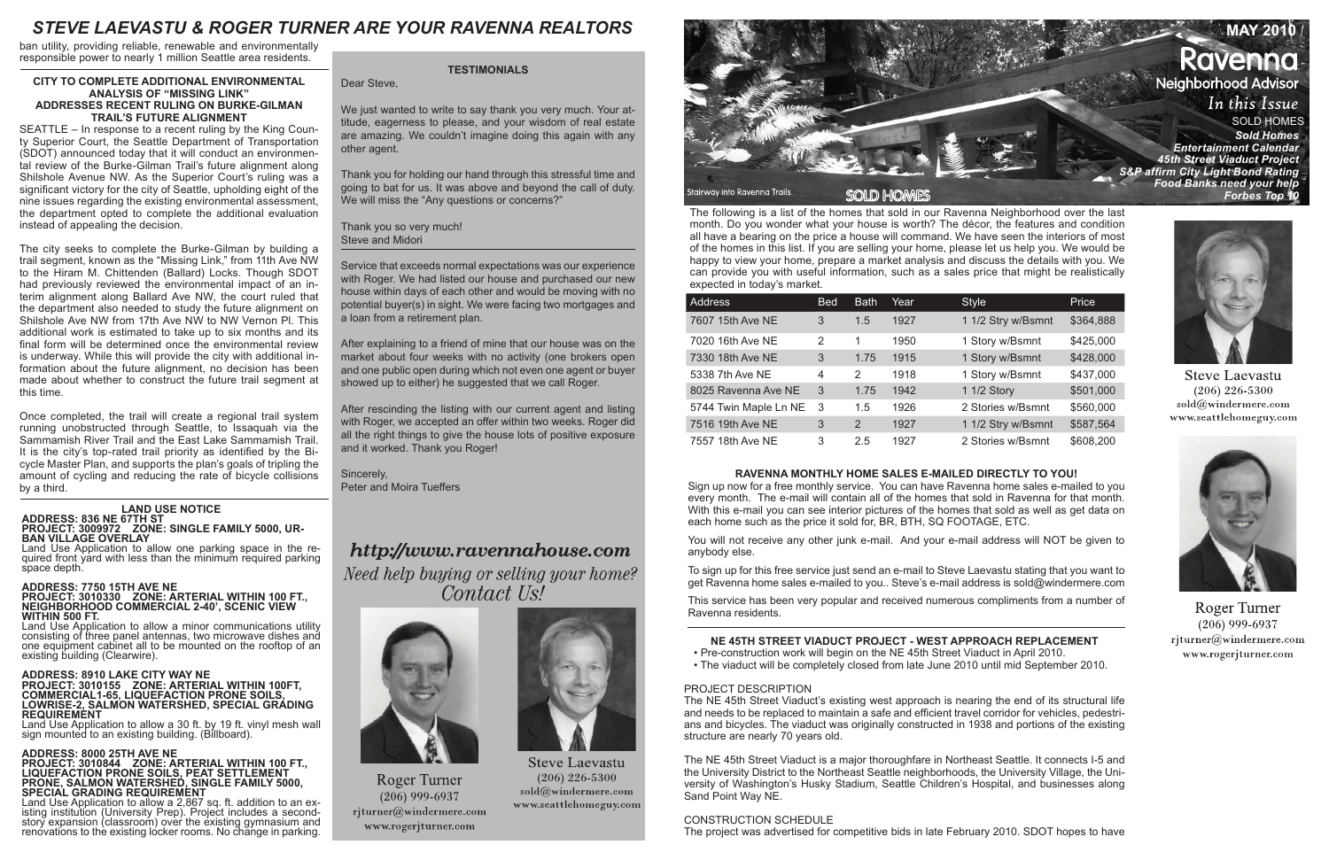The following is a list of the homes that sold in our Ravenna Neighborhood over the last month. Do you wonder what your house is worth? The décor, the features and condition all have a bearing on the price a house will command. We have seen the interiors of most of the homes in this list. If you are selling your home, please let us help you. We would be happy to view your home, prepare a market analysis and discuss the details with you. We can provide you with useful information, such as a sales price that might be realistically expected in today's market.

| <b>Address</b>        | <b>Bed</b> | <b>Bath</b> | Year | <b>Style</b>       | Price     |
|-----------------------|------------|-------------|------|--------------------|-----------|
| 7607 15th Ave NE      | 3          | 1.5         | 1927 | 1 1/2 Stry w/Bsmnt | \$364,888 |
| 7020 16th Ave NE      | 2          | 1           | 1950 | 1 Story w/Bsmnt    | \$425,000 |
| 7330 18th Ave NE      | 3          | 1.75        | 1915 | 1 Story w/Bsmnt    | \$428,000 |
| 5338 7th Ave NE       | 4          | 2           | 1918 | 1 Story w/Bsmnt    | \$437,000 |
| 8025 Ravenna Ave NE   | 3          | 1.75        | 1942 | 1 1/2 Story        | \$501,000 |
| 5744 Twin Maple Ln NE | 3          | 1.5         | 1926 | 2 Stories w/Bsmnt  | \$560,000 |
| 7516 19th Ave NE      | 3          | 2           | 1927 | 1 1/2 Stry w/Bsmnt | \$587,564 |
| 7557 18th Ave NE      | 3          | 2.5         | 1927 | 2 Stories w/Bsmnt  | \$608,200 |

We just wanted to write to say thank you very much. Your attitude, eagerness to please, and your wisdom of real estate are amazing. We couldn't imagine doing this again with any other agent.

# **RAVENNA MONTHLY HOME SALES E-MAILED DIRECTLY TO YOU!**

Sign up now for a free monthly service. You can have Ravenna home sales e-mailed to you every month. The e-mail will contain all of the homes that sold in Ravenna for that month. With this e-mail you can see interior pictures of the homes that sold as well as get data on each home such as the price it sold for, BR, BTH, SQ FOOTAGE, ETC.

You will not receive any other junk e-mail. And your e-mail address will NOT be given to anybody else.

To sign up for this free service just send an e-mail to Steve Laevastu stating that you want to get Ravenna home sales e-mailed to you.. Steve's e-mail address is sold@windermere.com

This service has been very popular and received numerous compliments from a number of Ravenna residents.

# **TESTIMONIALS**

Dear Steve,

Land Use Application to allow a 2,867 sq. ft. addition to an ex- isting institution (University Prep). Project includes a secondstory expansion (classroom) over the existing gymnasium and renovations to the existing locker rooms. No change in parking. Thank you for holding our hand through this stressful time and going to bat for us. It was above and beyond the call of duty. We will miss the "Any questions or concerns?"

Thank you so very much! Steve and Midori

Service that exceeds normal expectations was our experience with Roger. We had listed our house and purchased our new house within days of each other and would be moving with no potential buyer(s) in sight. We were facing two mortgages and a loan from a retirement plan.

After explaining to a friend of mine that our house was on the market about four weeks with no activity (one brokers open and one public open during which not even one agent or buyer showed up to either) he suggested that we call Roger.



After rescinding the listing with our current agent and listing with Roger, we accepted an offer within two weeks. Roger did all the right things to give the house lots of positive exposure and it worked. Thank you Roger!

Sincerely, Peter and Moira Tueffers

# http://www.ravennahouse.com

Need help buying or selling your home? Contact Us!



**Roger Turner**  $(206)$  999-6937 rjturner@windermere.com www.rogerjturner.com



**Steve Laevastu**  $(206)$  226-5300  $\mathrm{solid}(\widehat{a})$ windermere.com www.seattlehomeguy.com

# **LAND USE NOTICE ADDRESS: 836 NE 67TH ST PROJECT: 3009972 ZONE: SINGLE FAMILY 5000, UR- BAN VILLAGE OVERLAY**

Land Use Application to allow one parking space in the re- quired front yard with less than the minimum required parking space depth.

#### **ADDRESS: 7750 15TH AVE NE PROJECT: 3010330 ZONE: ARTERIAL WITHIN 100 FT., NEIGHBORHOOD COMMERCIAL 2-40', SCENIC VIEW WITHIN 500 FT.**

Land Use Application to allow a minor communications utility consisting of three panel antennas, two microwave dishes and one equipment cabinet all to be mounted on the rooftop of an existing building (Clearwire).

#### **ADDRESS: 8910 LAKE CITY WAY NE PROJECT: 3010155 ZONE: ARTERIAL WITHIN 100FT, COMMERCIAL1-65, LIQUEFACTION PRONE SOILS, LOWRISE-2, SALMON WATERSHED, SPECIAL GRADING REQUIREMENT**

Land Use Application to allow a 30 ft. by 19 ft. vinyl mesh wall sign mounted to an existing building. (Billboard).

# **ADDRESS: 8000 25TH AVE NE**

#### **PROJECT: 3010844 ZONE: ARTERIAL WITHIN 100 FT., LIQUEFACTION PRONE SOILS, PEAT SETTLEMENT PRONE, SALMON WATERSHED, SINGLE FAMILY 5000, SPECIAL GRADING REQUIREMENT**

# **NE 45TH STREET VIADUCT PROJECT - WEST APPROACH REPLACEMENT**

- Pre-construction work will begin on the NE 45th Street Viaduct in April 2010.
- The viaduct will be completely closed from late June 2010 until mid September 2010.

# PROJECT DESCRIPTION

The NE 45th Street Viaduct's existing west approach is nearing the end of its structural life and needs to be replaced to maintain a safe and efficient travel corridor for vehicles, pedestrians and bicycles. The viaduct was originally constructed in 1938 and portions of the existing structure are nearly 70 years old.

The NE 45th Street Viaduct is a major thoroughfare in Northeast Seattle. It connects I-5 and the University District to the Northeast Seattle neighborhoods, the University Village, the University of Washington's Husky Stadium, Seattle Children's Hospital, and businesses along Sand Point Way NE.

# CONSTRUCTION SCHEDULE

The project was advertised for competitive bids in late February 2010. SDOT hopes to have



**Steve Laevastu**  $(206)$  226-5300 sold@windermere.com www.seattlehomeguy.com



**Roger Turner**  $(206)$  999-6937 rjturner@windermere.com www.rogerjturner.com

ban utility, providing reliable, renewable and environmentally responsible power to nearly 1 million Seattle area residents.

#### **CITY TO COMPLETE ADDITIONAL ENVIRONMENTAL ANALYSIS OF "MISSING LINK" ADDRESSES RECENT RULING ON BURKE-GILMAN TRAIL'S FUTURE ALIGNMENT**

SEATTLE – In response to a recent ruling by the King County Superior Court, the Seattle Department of Transportation (SDOT) announced today that it will conduct an environmental review of the Burke-Gilman Trail's future alignment along Shilshole Avenue NW. As the Superior Court's ruling was a significant victory for the city of Seattle, upholding eight of the nine issues regarding the existing environmental assessment, the department opted to complete the additional evaluation instead of appealing the decision.

The city seeks to complete the Burke-Gilman by building a trail segment, known as the "Missing Link," from 11th Ave NW to the Hiram M. Chittenden (Ballard) Locks. Though SDOT had previously reviewed the environmental impact of an interim alignment along Ballard Ave NW, the court ruled that the department also needed to study the future alignment on Shilshole Ave NW from 17th Ave NW to NW Vernon Pl. This additional work is estimated to take up to six months and its final form will be determined once the environmental review is underway. While this will provide the city with additional information about the future alignment, no decision has been made about whether to construct the future trail segment at this time.

Once completed, the trail will create a regional trail system running unobstructed through Seattle, to Issaquah via the Sammamish River Trail and the East Lake Sammamish Trail. It is the city's top-rated trail priority as identified by the Bicycle Master Plan, and supports the plan's goals of tripling the amount of cycling and reducing the rate of bicycle collisions by a third.